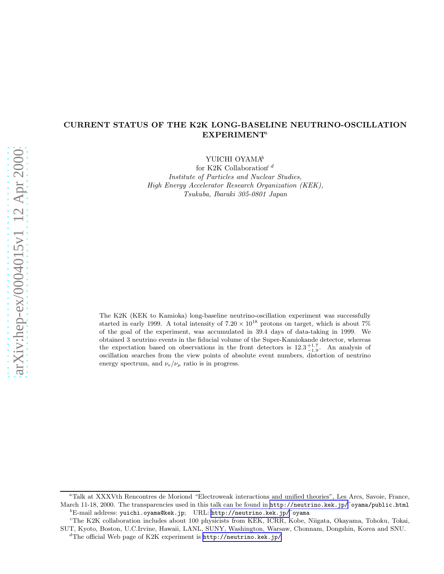# CURRENT STATUS OF THE K2K LONG-BASELINE NEUTRINO-OSCILLATION  $EXPERIMENT<sup>a</sup>$

YUICHI OYAMA<sup>b</sup>

for K2K Collaboration<sup>c d</sup> Institute of Particles and Nuclear Studies, High Energy Accelerator Research Organization (KEK), Tsukuba, Ibaraki 305-0801 Japan

The K2K (KEK to Kamioka) long-baseline neutrino-oscillation experiment was successfully started in early 1999. A total intensity of  $7.20 \times 10^{18}$  protons on target, which is about 7% of the goal of the experiment, was accumulated in 39.4 days of data-taking in 1999. We obtained 3 neutrino events in the fiducial volume of the Super-Kamiokande detector, whereas the expectation based on observations in the front detectors is  $12.3^{+1.7}_{-1.9}$ . An analysis of oscillation searches from the view points of absolute event numbers, distortion of neutrino energy spectrum, and  $\nu_e/\nu_\mu$  ratio is in progress.

<sup>a</sup>Talk at XXXVth Rencontres de Moriond "Electroweak interactions and unified theories", Les Arcs, Savoie, France, March 11-18, 2000. The transparencies used in this talk can be found in <http://neutrino.kek.jp/>~oyama/public.html  ${}^{b}$ E-mail address: yuichi.oyama@kek.jp; URL: <http://neutrino.kek.jp/>~oyama

<sup>c</sup>The K2K collaboration includes about 100 physicists from KEK, ICRR, Kobe, Niigata, Okayama, Tohoku, Tokai, SUT, Kyoto, Boston, U.C.Irvine, Hawaii, LANL, SUNY, Washington, Warsaw, Chonnam, Dongshin, Korea and SNU.

 ${}^{d}$ The official Web page of K2K experiment is  $http://neutrino.kek.jp/$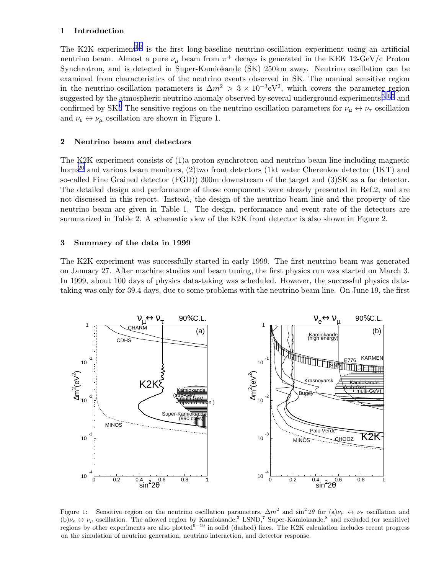## 1 Introduction

The K2K experiment<sup>[1](#page-7-0),[2](#page-7-0)</sup> is the first long-baseline neutrino-oscillation experiment using an artificial neutrino beam. Almost a pure  $\nu_{\mu}$  beam from  $\pi^{+}$  decays is generated in the KEK 12-GeV/c Proton Synchrotron, and is detected in Super-Kamiokande (SK) 250km away. Neutrino oscillation can be examined from characteristics of the neutrino events observed in SK. The nominal sensitive region in the neutrino-oscillation parameters is  $\Delta m^2 > 3 \times 10^{-3}$ eV<sup>2</sup>, which covers the parameter region suggested by the atmospheric neutrino anomaly observed by several underground experiments,  $3,4,5$  $3,4,5$  $3,4,5$  $3,4,5$  $3,4,5$  and confirmed by SK.<sup>[6](#page-7-0)</sup> The sensitive regions on the neutrino oscillation parameters for  $\nu_\mu \leftrightarrow \nu_\tau$  oscillation and  $\nu_e \leftrightarrow \nu_\mu$  oscillation are shown in Figure 1.

## 2 Neutrino beam and detectors

The K2K experiment consists of (1)a proton synchrotron and neutrino beam line including magnetic horns<sup>[20](#page-7-0)</sup> and various beam monitors, (2)two front detectors (1kt water Cherenkov detector (1KT) and so-called Fine Grained detector (FGD)) 300m downstream of the target and (3)SK as a far detector. The detailed design and performance of those components were already presented in Ref.2, and are not discussed in this report. Instead, the design of the neutrino beam line and the property of the neutrino beam are given in Table 1. The design, performance and event rate of the detectors are summarized in Table 2. A schematic view of the K2K front detector is also shown in Figure 2.

## 3 Summary of the data in 1999

The K2K experiment was successfully started in early 1999. The first neutrino beam was generated on January 27. After machine studies and beam tuning, the first physics run was started on March 3. In 1999, about 100 days of physics data-taking was scheduled. However, the successful physics datataking was only for 39.4 days, due to some problems with the neutrino beam line. On June 19, the first



Figure 1: Sensitive region on the neutrino oscillation parameters,  $\Delta m^2$  and  $\sin^2 2\theta$  for  $(a)\nu_\mu \leftrightarrow \nu_\tau$  oscillation and (b) $\nu_e \leftrightarrow \nu_\mu$  oscillation. The allowed region by Kamiokande,<sup>3</sup> LSND,<sup>7</sup> Super-Kamiokande,<sup>8</sup> and excluded (or sensitive) regions by other experiments are also plotted $9-19$  in solid (dashed) lines. The K2K calculation includes recent progress on the simulation of neutrino generation, neutrino interaction, and detector response.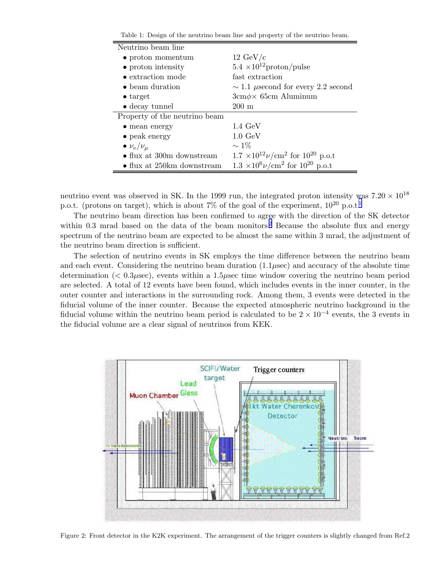Table 1: Design of the neutrino beam line and property of the neutrino beam.

| Neutrino beam line                  |                                                         |  |  |
|-------------------------------------|---------------------------------------------------------|--|--|
| $\bullet$ proton momentum           | $12 \text{ GeV/c}$                                      |  |  |
| $\bullet$ proton intensity          | $5.4 \times 10^{12}$ proton/pulse                       |  |  |
| • extraction mode                   | fast extraction                                         |  |  |
| • beam duration                     | $\sim$ 1.1 µsecond for every 2.2 second                 |  |  |
| $\bullet$ target                    | $3cm\phi\times 65cm$ Aluminum                           |  |  |
| $\bullet$ decay tunnel              | $200 \text{ m}$                                         |  |  |
| Property of the neutrino beam       |                                                         |  |  |
| $\bullet$ mean energy               | $1.4~\mathrm{GeV}$                                      |  |  |
| $\bullet$ peak energy               | $1.0 \text{ GeV}$                                       |  |  |
| $\bullet$ $\nu_e/\nu_\mu$           | $\sim$ 1\%                                              |  |  |
| $\bullet$ flux at 300m downstream   | $1.7 \times 10^{12} \nu/cm^2$ for $10^{20}$ p.o.t       |  |  |
| $\bullet$ flux at 250 km downstream | $1.3 \times 10^6 \nu \mathrm{cm}^2$ for $10^{20}$ p.o.t |  |  |

neutrino event was observed in SK. In the 1999 run, the integrated proton intensity was  $7.20 \times 10^{18}$ p.o.t. (protons on target), which is about 7% of the goal of the experiment,  $10^{20}$  $10^{20}$  p.o.t.<sup>1</sup>

The neutrino beam direction has been confirmed to agree with the direction of the SK detector within 0.3 mrad based on the data of the beam monitors.<sup>[2](#page-7-0)</sup> Because the absolute flux and energy spectrum of the neutrino beam are expected to be almost the same within 3 mrad, the adjustment of the neutrino beam direction is sufficient.

The selection of neutrino events in SK employs the time difference between the neutrino beam and each event. Considering the neutrino beam duration  $(1.1\mu \text{sec})$  and accuracy of the absolute time determination  $(< 0.3 \mu$ sec), events within a 1.5 $\mu$ sec time window covering the neutrino beam period are selected. A total of 12 events have been found, which includes events in the inner counter, in the outer counter and interactions in the surrounding rock. Among them, 3 events were detected in the fiducial volume of the inner counter. Because the expected atmospheric neutrino background in the fiducial volume within the neutrino beam period is calculated to be  $2 \times 10^{-4}$  events, the 3 events in the fiducial volume are a clear signal of neutrinos from KEK.



Figure 2: Front detector in the K2K experiment. The arrangement of the trigger counters is slightly changed from Ref.2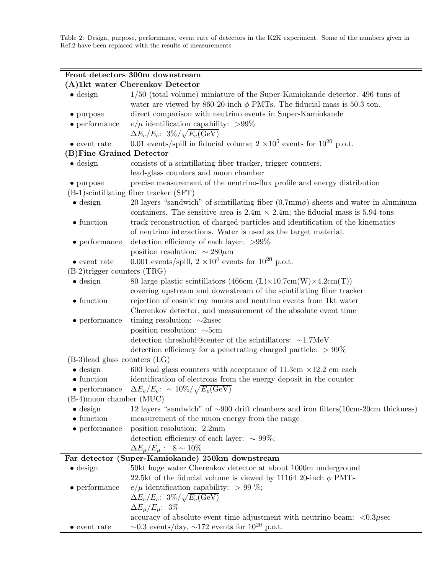Table 2: Design, purpose, performance, event rate of detectors in the K2K experiment. Some of the numbers given in Ref.2 have been replaced with the results of measurements

# Front detectors 300m downstream (A)1kt water Cherenkov Detector

| $\bullet$ design                   | $1/50$ (total volume) miniature of the Super-Kamiokande detector. 496 tons of                       |  |  |  |  |
|------------------------------------|-----------------------------------------------------------------------------------------------------|--|--|--|--|
|                                    | water are viewed by 860 20-inch $\phi$ PMTs. The fiducial mass is 50.3 ton.                         |  |  |  |  |
| $\bullet$ purpose                  | direct comparison with neutrino events in Super-Kamiokande                                          |  |  |  |  |
| $\bullet$ performance              | $e/\mu$ identification capability: >99%                                                             |  |  |  |  |
|                                    | $\Delta E_e/E_e$ : $3\%/\sqrt{E_e(\mathrm{GeV})}$                                                   |  |  |  |  |
| $\bullet$ event rate               | 0.01 events/spill in fiducial volume; $2 \times 10^5$ events for $10^{20}$ p.o.t.                   |  |  |  |  |
| (B) Fine Grained Detector          |                                                                                                     |  |  |  |  |
| $\bullet$ design                   | consists of a scintillating fiber tracker, trigger counters,                                        |  |  |  |  |
|                                    | lead-glass counters and muon chamber                                                                |  |  |  |  |
| $\bullet$ purpose                  | precise measurement of the neutrino-flux profile and energy distribution                            |  |  |  |  |
|                                    | $(B-1)$ scintillating fiber tracker $(SFT)$                                                         |  |  |  |  |
| $\bullet$ design                   | 20 layers "sandwich" of scintillating fiber $(0.7 \text{mm}\phi)$ sheets and water in aluminum      |  |  |  |  |
|                                    | containers. The sensitive area is $2.4m \times 2.4m$ ; the fiducial mass is 5.94 tons               |  |  |  |  |
| $\bullet$ function                 | track reconstruction of charged particles and identification of the kinematics                      |  |  |  |  |
|                                    | of neutrino interactions. Water is used as the target material.                                     |  |  |  |  |
| $\bullet$ performance              | detection efficiency of each layer: $>99\%$                                                         |  |  |  |  |
|                                    | position resolution: $\sim 280 \mu m$                                                               |  |  |  |  |
| $\bullet$ event rate               | 0.001 events/spill, $2 \times 10^4$ events for $10^{20}$ p.o.t.                                     |  |  |  |  |
| $(B-2)$ trigger counters $(TRG)$   |                                                                                                     |  |  |  |  |
| $\bullet$ design                   | 80 large plastic scintillators (466cm $(L) \times 10.7$ cm $(W) \times 4.2$ cm $(T)$ )              |  |  |  |  |
|                                    | covering upstream and downstream of the scintillating fiber tracker                                 |  |  |  |  |
| $\bullet$ function                 | rejection of cosmic ray muons and neutrino events from 1kt water                                    |  |  |  |  |
|                                    | Cherenkov detector, and measurement of the absolute event time                                      |  |  |  |  |
| $\bullet$ performance              | timing resolution: $\sim$ 2nsec                                                                     |  |  |  |  |
|                                    | position resolution: $\sim$ 5cm                                                                     |  |  |  |  |
|                                    | detection threshold@center of the scintillators: $\sim$ 1.7MeV                                      |  |  |  |  |
|                                    | detection efficiency for a penetrating charged particle: $> 99\%$                                   |  |  |  |  |
| $(B-3)$ lead glass counters $(LG)$ |                                                                                                     |  |  |  |  |
| $\bullet$ design                   | 600 lead glass counters with acceptance of 11.3cm $\times$ 12.2 cm each                             |  |  |  |  |
| $\bullet$ function                 | identification of electrons from the energy deposit in the counter                                  |  |  |  |  |
| $\bullet$ performance              | $\Delta E_e/E_e$ : $\sim 10\%/\sqrt{E_e(\text{GeV})}$                                               |  |  |  |  |
| $(B-4)$ muon chamber (MUC)         |                                                                                                     |  |  |  |  |
| $\bullet$ design                   | 12 layers "sandwich" of $\sim 900$ drift chambers and iron filters(10cm-20cm thickness)             |  |  |  |  |
| $\bullet$ function                 | measurement of the muon energy from the range                                                       |  |  |  |  |
| $\bullet$ performance              | position resolution: 2.2mm                                                                          |  |  |  |  |
|                                    | detection efficiency of each layer: $\sim 99\%$ ;                                                   |  |  |  |  |
|                                    | $\Delta E_{\mu}/E_{\mu}$ : $8 \sim 10\%$                                                            |  |  |  |  |
|                                    | Far detector (Super-Kamiokande) 250km downstream                                                    |  |  |  |  |
| $\bullet$ design                   | 50kt huge water Cherenkov detector at about 1000m underground                                       |  |  |  |  |
|                                    | 22.5kt of the fiducial volume is viewed by 11164 20-inch $\phi$ PMTs                                |  |  |  |  |
| $\bullet$ performance              | $e/\mu$ identification capability: > 99 %;                                                          |  |  |  |  |
|                                    | $\Delta E_e/E_e$ : $3\%/\sqrt{E_e(\rm GeV)}$                                                        |  |  |  |  |
|                                    | $\Delta E_{\mu}/E_{\mu}$ : 3%                                                                       |  |  |  |  |
|                                    | accuracy of absolute event time adjustment with neutrino beam: $\langle 0.3 \mu \text{sec} \rangle$ |  |  |  |  |
| $\bullet$ event rate               | $\sim 0.3$ events/day, $\sim 172$ events for $10^{20}$ p.o.t.                                       |  |  |  |  |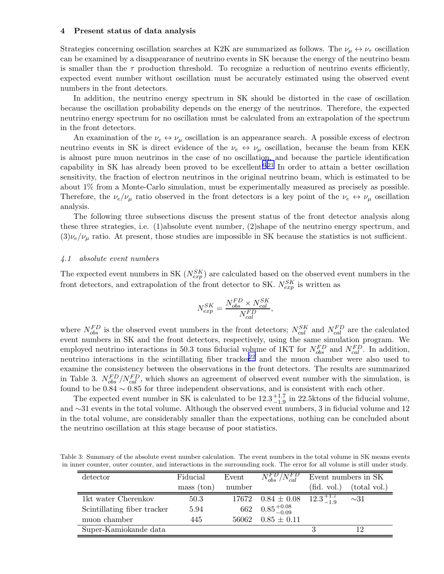#### 4 Present status of data analysis

Strategies concerning oscillation searches at K2K are summarized as follows. The  $\nu_{\mu} \leftrightarrow \nu_{\tau}$  oscillation can be examined by a disappearance of neutrino events in SK because the energy of the neutrino beam is smaller than the  $\tau$  production threshold. To recognize a reduction of neutrino events efficiently, expected event number without oscillation must be accurately estimated using the observed event numbers in the front detectors.

In addition, the neutrino energy spectrum in SK should be distorted in the case of oscillation because the oscillation probability depends on the energy of the neutrinos. Therefore, the expected neutrino energy spectrum for no oscillation must be calculated from an extrapolation of the spectrum in the front detectors.

An examination of the  $\nu_e \leftrightarrow \nu_\mu$  oscillation is an appearance search. A possible excess of electron neutrino events in SK is direct evidence of the  $\nu_e \leftrightarrow \nu_\mu$  oscillation, because the beam from KEK is almost pure muon neutrinos in the case of no oscillation, and because the particle identification capability in SK has already been proved to be excellent.<sup>[6](#page-7-0),[21](#page-7-0)</sup> In order to attain a better oscillation sensitivity, the fraction of electron neutrinos in the original neutrino beam, which is estimated to be about 1% from a Monte-Carlo simulation, must be experimentally measured as precisely as possible. Therefore, the  $\nu_e/\nu_\mu$  ratio observed in the front detectors is a key point of the  $\nu_e \leftrightarrow \nu_\mu$  oscillation analysis.

The following three subsections discuss the present status of the front detector analysis along these three strategies, i.e. (1)absolute event number, (2)shape of the neutrino energy spectrum, and  $(3)\nu_e/\nu_\mu$  ratio. At present, those studies are impossible in SK because the statistics is not sufficient.

#### 4.1 absolute event numbers

The expected event numbers in SK  $(N_{exp}^{SK})$  are calculated based on the observed event numbers in the front detectors, and extrapolation of the front detector to SK.  $N_{exp}^{SK}$  is written as

$$
N_{exp}^{SK} = \frac{N_{obs}^{FD} \times N_{cal}^{SK}}{N_{cal}^{FD}},
$$

where  $N_{obs}^{FD}$  is the observed event numbers in the front detectors;  $N_{cal}^{SK}$  and  $N_{cal}^{FD}$  are the calculated event numbers in SK and the front detectors, respectively, using the same simulation program. We employed neutrino interactions in 50.3 tons fiducial volume of 1KT for  $N_{obs}^{FD}$  and  $N_{cal}^{FD}$ . In addition, neutrino interactions in the scintillating fiber tracker<sup>[22](#page-7-0)</sup> and the muon chamber were also used to examine the consistency between the observations in the front detectors. The results are summarized in Table 3.  $N_{obs}^{FD}/N_{cal}^{FD}$ , which shows an agreement of observed event number with the simulation, is found to be  $0.84 \sim 0.85$  for three independent observations, and is consistent with each other.

The expected event number in SK is calculated to be  $12.3^{+1.7}_{-1.9}$  in 22.5ktons of the fiducial volume, and ∼31 events in the total volume. Although the observed event numbers, 3 in fiducial volume and 12 in the total volume, are considerably smaller than the expectations, nothing can be concluded about the neutrino oscillation at this stage because of poor statistics.

Table 3: Summary of the absolute event number calculation. The event numbers in the total volume in SK means events in inner counter, outer counter, and interactions in the surrounding rock. The error for all volume is still under study.

| detector                    | Fiducial               | Event  | $N_{obs}^{FD}/N_{cal}^{FD}$ | Event numbers in SK  |              |
|-----------------------------|------------------------|--------|-----------------------------|----------------------|--------------|
|                             | $(\text{ton})$<br>mass | number |                             | (fid. vol.)          | (total vol.) |
| 1kt water Cherenkov         | 50.3                   | 17672  | $0.84 \pm 0.08$             | $12.3^{+1.7}_{-1.9}$ | $\sim 31$    |
| Scintillating fiber tracker | 5.94                   | 662    | $0.85_{-0.09}^{+0.08}$      |                      |              |
| muon chamber                | 445                    | 56062  | $0.85 \pm 0.11$             |                      |              |
| Super-Kamiokande data       |                        |        |                             |                      |              |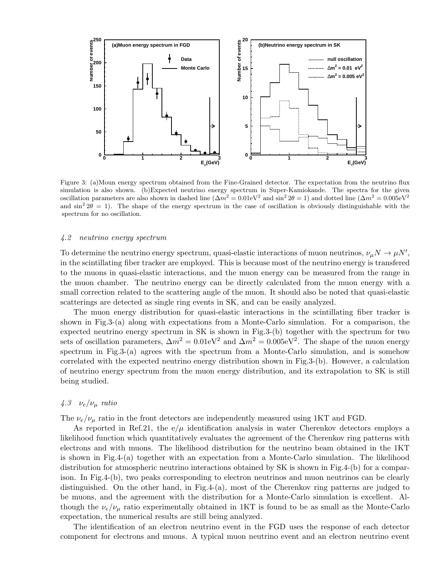

Figure 3: (a)Moun energy spectrum obtained from the Fine-Grained detector. The expectation from the neutrino flux simulation is also shown. (b)Expected neutrino energy spectrum in Super-Kamiokande. The spectra for the given oscillation parameters are also shown in dashed line ( $\Delta m^2 = 0.01$ eV<sup>2</sup> and sin<sup>2</sup>  $2\theta = 1$ ) and dotted line ( $\Delta m^2 = 0.005$ eV<sup>2</sup> and  $\sin^2 2\theta = 1$ ). The shape of the energy spectrum in the case of oscillation is obviously distinguishable with the spectrum for no oscillation.

#### 4.2 neutrino energy spectrum

To determine the neutrino energy spectrum, quasi-elastic interactions of muon neutrinos,  $\nu_{\mu}N \to \mu N'$ , in the scintillating fiber tracker are employed. This is because most of the neutrino energy is transfered to the muons in quasi-elastic interactions, and the muon energy can be measured from the range in the muon chamber. The neutrino energy can be directly calculated from the muon energy with a small correction related to the scattering angle of the muon. It should also be noted that quasi-elastic scatterings are detected as single ring events in SK, and can be easily analyzed.

The muon energy distribution for quasi-elastic interactions in the scintillating fiber tracker is shown in Fig.3-(a) along with expectations from a Monte-Carlo simulation. For a comparison, the expected neutrino energy spectrum in SK is shown in Fig.3-(b) together with the spectrum for two sets of oscillation parameters,  $\Delta m^2 = 0.01$ eV<sup>2</sup> and  $\Delta m^2 = 0.005$ eV<sup>2</sup>. The shape of the muon energy spectrum in Fig.3-(a) agrees with the spectrum from a Monte-Carlo simulation, and is somehow correlated with the expected neutrino energy distribution shown in Fig.3-(b). However, a calculation of neutrino energy spectrum from the muon energy distribution, and its extrapolation to SK is still being studied.

## 4.3  $\nu_e/\nu_\mu$  ratio

The  $\nu_e/\nu_\mu$  ratio in the front detectors are independently measured using 1KT and FGD.

As reported in Ref. 21, the  $e/\mu$  identification analysis in water Cherenkov detectors employs a likelihood function which quantitatively evaluates the agreement of the Cherenkov ring patterns with electrons and with muons. The likelihood distribution for the neutrino beam obtained in the 1KT is shown in Fig.4-(a) together with an expectation from a Monte-Carlo simulation. The likelihood distribution for atmospheric neutrino interactions obtained by SK is shown in Fig.4-(b) for a comparison. In Fig.4-(b), two peaks corresponding to electron neutrinos and muon neutrinos can be clearly distinguished. On the other hand, in Fig.4-(a), most of the Cherenkov ring patterns are judged to be muons, and the agreement with the distribution for a Monte-Carlo simulation is excellent. Although the  $\nu_e/\nu_\mu$  ratio experimentally obtained in 1KT is found to be as small as the Monte-Carlo expectation, the numerical results are still being analyzed.

The identification of an electron neutrino event in the FGD uses the response of each detector component for electrons and muons. A typical muon neutrino event and an electron neutrino event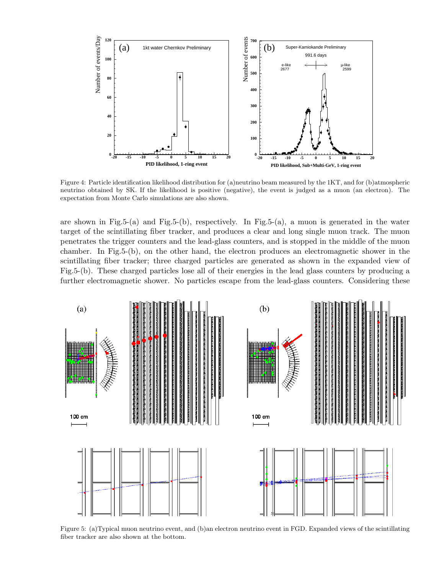

Figure 4: Particle identification likelihood distribution for (a)neutrino beam measured by the 1KT, and for (b)atmospheric neutrino obtained by SK. If the likelihood is positive (negative), the event is judged as a muon (an electron). The expectation from Monte Carlo simulations are also shown.

are shown in Fig.5-(a) and Fig.5-(b), respectively. In Fig.5-(a), a muon is generated in the water target of the scintillating fiber tracker, and produces a clear and long single muon track. The muon penetrates the trigger counters and the lead-glass counters, and is stopped in the middle of the muon chamber. In Fig.5-(b), on the other hand, the electron produces an electromagnetic shower in the scintillating fiber tracker; three charged particles are generated as shown in the expanded view of Fig.5-(b). These charged particles lose all of their energies in the lead glass counters by producing a further electromagnetic shower. No particles escape from the lead-glass counters. Considering these



Figure 5: (a)Typical muon neutrino event, and (b)an electron neutrino event in FGD. Expanded views of the scintillating fiber tracker are also shown at the bottom.